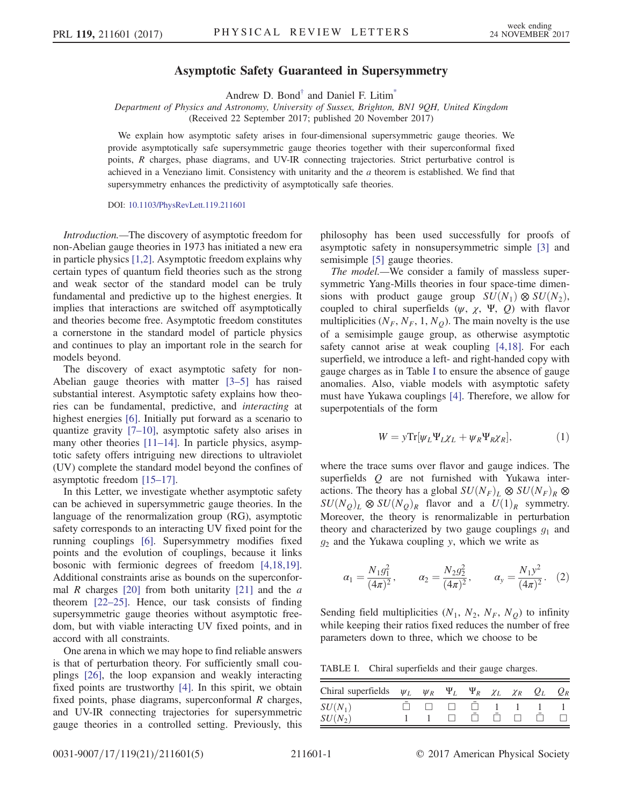## Asymptotic Safety Guaranteed in Supersymmetry

Andrew D. Bond<sup>[†](#page-3-0)</sup> and Daniel F. Litim<sup>[\\*](#page-3-1)</sup>

<span id="page-0-4"></span>Department of Physics and Astronomy, University of Sussex, Brighton, BN1 9QH, United Kingdom (Received 22 September 2017; published 20 November 2017)

We explain how asymptotic safety arises in four-dimensional supersymmetric gauge theories. We provide asymptotically safe supersymmetric gauge theories together with their superconformal fixed points, R charges, phase diagrams, and UV-IR connecting trajectories. Strict perturbative control is achieved in a Veneziano limit. Consistency with unitarity and the  $a$  theorem is established. We find that supersymmetry enhances the predictivity of asymptotically safe theories.

DOI: [10.1103/PhysRevLett.119.211601](https://doi.org/10.1103/PhysRevLett.119.211601)

Introduction.—The discovery of asymptotic freedom for non-Abelian gauge theories in 1973 has initiated a new era in particle physics [\[1,2\]](#page-3-2). Asymptotic freedom explains why certain types of quantum field theories such as the strong and weak sector of the standard model can be truly fundamental and predictive up to the highest energies. It implies that interactions are switched off asymptotically and theories become free. Asymptotic freedom constitutes a cornerstone in the standard model of particle physics and continues to play an important role in the search for models beyond.

The discovery of exact asymptotic safety for non-Abelian gauge theories with matter [\[3](#page-3-3)–5] has raised substantial interest. Asymptotic safety explains how theories can be fundamental, predictive, and interacting at highest energies [\[6\]](#page-3-4). Initially put forward as a scenario to quantize gravity [7–[10\]](#page-3-5), asymptotic safety also arises in many other theories [\[11](#page-3-6)–14]. In particle physics, asymptotic safety offers intriguing new directions to ultraviolet (UV) complete the standard model beyond the confines of asymptotic freedom [\[15](#page-4-0)–17].

In this Letter, we investigate whether asymptotic safety can be achieved in supersymmetric gauge theories. In the language of the renormalization group (RG), asymptotic safety corresponds to an interacting UV fixed point for the running couplings [\[6\].](#page-3-4) Supersymmetry modifies fixed points and the evolution of couplings, because it links bosonic with fermionic degrees of freedom [\[4,18,19\]](#page-3-7). Additional constraints arise as bounds on the superconformal R charges  $[20]$  from both unitarity  $[21]$  and the a theorem [\[22](#page-4-3)–25]. Hence, our task consists of finding supersymmetric gauge theories without asymptotic freedom, but with viable interacting UV fixed points, and in accord with all constraints.

One arena in which we may hope to find reliable answers is that of perturbation theory. For sufficiently small couplings [\[26\]](#page-4-4), the loop expansion and weakly interacting fixed points are trustworthy [\[4\].](#page-3-7) In this spirit, we obtain fixed points, phase diagrams, superconformal R charges, and UV-IR connecting trajectories for supersymmetric gauge theories in a controlled setting. Previously, this philosophy has been used successfully for proofs of asymptotic safety in nonsupersymmetric simple [\[3\]](#page-3-3) and semisimple [\[5\]](#page-3-8) gauge theories.

The model.—We consider a family of massless supersymmetric Yang-Mills theories in four space-time dimensions with product gauge group  $SU(N_1) \otimes SU(N_2)$ , coupled to chiral superfields  $(\psi, \chi, \Psi, Q)$  with flavor multiplicities ( $N_F$ ,  $N_F$ , 1,  $N_Q$ ). The main novelty is the use of a semisimple gauge group, as otherwise asymptotic safety cannot arise at weak coupling [\[4,18\].](#page-3-7) For each superfield, we introduce a left- and right-handed copy with gauge charges as in Table [I](#page-0-0) to ensure the absence of gauge anomalies. Also, viable models with asymptotic safety must have Yukawa couplings [\[4\].](#page-3-7) Therefore, we allow for superpotentials of the form

$$
W = y \text{Tr}[\psi_L \Psi_L \chi_L + \psi_R \Psi_R \chi_R], \tag{1}
$$

<span id="page-0-3"></span>where the trace sums over flavor and gauge indices. The superfields  $Q$  are not furnished with Yukawa interactions. The theory has a global  $SU(N_F)_L \otimes SU(N_F)_R \otimes$  $SU(N_Q)_L \otimes SU(N_Q)_R$  flavor and a  $U(1)_R$  symmetry. Moreover, the theory is renormalizable in perturbation theory and characterized by two gauge couplings  $g_1$  and  $g_2$  and the Yukawa coupling y, which we write as

<span id="page-0-2"></span>
$$
\alpha_1 = \frac{N_1 g_1^2}{(4\pi)^2}, \qquad \alpha_2 = \frac{N_2 g_2^2}{(4\pi)^2}, \qquad \alpha_y = \frac{N_1 y^2}{(4\pi)^2}.
$$
 (2)

<span id="page-0-1"></span>Sending field multiplicities  $(N_1, N_2, N_F, N_Q)$  to infinity while keeping their ratios fixed reduces the number of free parameters down to three, which we choose to be

<span id="page-0-0"></span>TABLE I. Chiral superfields and their gauge charges.

| Chiral superfields $\psi_L$ $\psi_R$ $\Psi_L$ $\Psi_R$ $\chi_L$ $\chi_R$ $Q_L$ $Q_R$ |  |  |  |  |
|--------------------------------------------------------------------------------------|--|--|--|--|
|                                                                                      |  |  |  |  |
| $\frac{SU(N_1)}{SU(N_2)}$                                                            |  |  |  |  |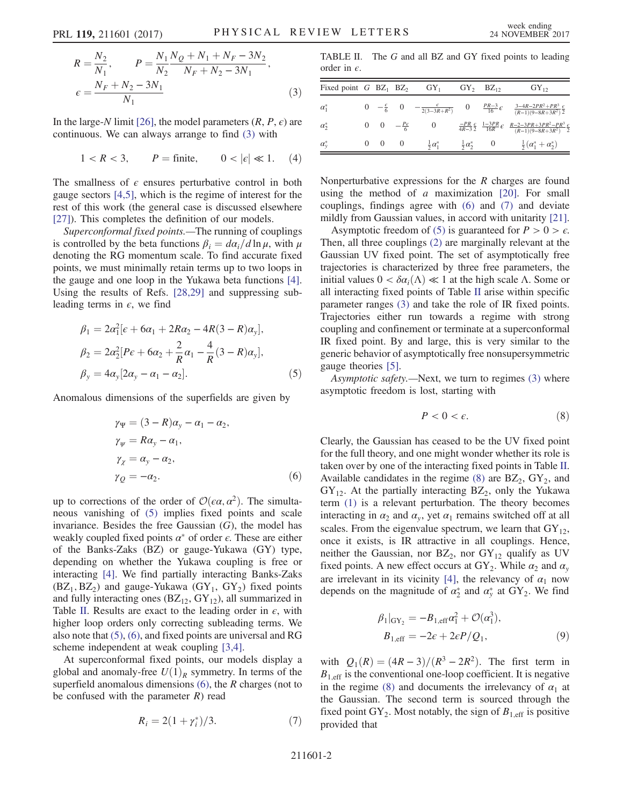$$
R = \frac{N_2}{N_1}, \qquad P = \frac{N_1 N_Q + N_1 + N_F - 3N_2}{N_2 N_F + N_2 - 3N_1},
$$
  

$$
\epsilon = \frac{N_F + N_2 - 3N_1}{N_1}
$$
 (3)

In the large-N limit [\[26\]](#page-4-4), the model parameters  $(R, P, \epsilon)$  are continuous. We can always arrange to find [\(3\)](#page-0-1) with

$$
1 < R < 3, \qquad P = \text{finite}, \qquad 0 < |\epsilon| \ll 1. \tag{4}
$$

The smallness of  $\epsilon$  ensures perturbative control in both gauge sectors [\[4,5\],](#page-3-7) which is the regime of interest for the rest of this work (the general case is discussed elsewhere [\[27\]](#page-4-5)). This completes the definition of our models.

Superconformal fixed points.—The running of couplings is controlled by the beta functions  $\beta_i = d\alpha_i/d\ln\mu$ , with  $\mu$ denoting the RG momentum scale. To find accurate fixed points, we must minimally retain terms up to two loops in the gauge and one loop in the Yukawa beta functions [\[4\]](#page-3-7). Using the results of Refs. [\[28,29\]](#page-4-6) and suppressing subleading terms in  $\epsilon$ , we find

<span id="page-1-0"></span>
$$
\beta_1 = 2\alpha_1^2 [\epsilon + 6\alpha_1 + 2R\alpha_2 - 4R(3 - R)\alpha_y], \n\beta_2 = 2\alpha_2^2 [P\epsilon + 6\alpha_2 + \frac{2}{R}\alpha_1 - \frac{4}{R}(3 - R)\alpha_y], \n\beta_y = 4\alpha_y [2\alpha_y - \alpha_1 - \alpha_2].
$$
\n(5)

<span id="page-1-2"></span>Anomalous dimensions of the superfields are given by

$$
\gamma_{\Psi} = (3 - R)\alpha_{y} - \alpha_{1} - \alpha_{2},
$$
  
\n
$$
\gamma_{\psi} = R\alpha_{y} - \alpha_{1},
$$
  
\n
$$
\gamma_{\chi} = \alpha_{y} - \alpha_{2},
$$
  
\n
$$
\gamma_{Q} = -\alpha_{2}.
$$
\n(6)

up to corrections of the order of  $\mathcal{O}(\epsilon \alpha, \alpha^2)$ . The simultaneous vanishing of [\(5\)](#page-1-0) implies fixed points and scale invariance. Besides the free Gaussian  $(G)$ , the model has weakly coupled fixed points  $\alpha^*$  of order  $\epsilon$ . These are either of the Banks-Zaks (BZ) or gauge-Yukawa (GY) type, depending on whether the Yukawa coupling is free or interacting [\[4\].](#page-3-7) We find partially interacting Banks-Zaks  $(BZ_1, BZ_2)$  and gauge-Yukawa  $(GY_1, GY_2)$  fixed points and fully interacting ones  $(BZ_{12}, GY_{12})$ , all summarized in Table [II](#page-1-1). Results are exact to the leading order in  $\epsilon$ , with higher loop orders only correcting subleading terms. We also note that [\(5\),](#page-1-0) [\(6\),](#page-1-2) and fixed points are universal and RG scheme independent at weak coupling [\[3,4\]](#page-3-3).

<span id="page-1-3"></span>At superconformal fixed points, our models display a global and anomaly-free  $U(1)_R$  symmetry. In terms of the superfield anomalous dimensions  $(6)$ , the R charges (not to be confused with the parameter  $R$ ) read

$$
R_i = 2(1 + \gamma_i^*)/3.
$$
 (7)

<span id="page-1-1"></span>TABLE II. The G and all BZ and GY fixed points to leading order in  $\epsilon$ .

| Fixed point $G$ BZ <sub>1</sub> BZ <sub>2</sub> |                                           | $GY_1$                  |                            | $GY_2$ $BZ_{12}$                                                   | $GY_{12}$                                                                                                                                          |
|-------------------------------------------------|-------------------------------------------|-------------------------|----------------------------|--------------------------------------------------------------------|----------------------------------------------------------------------------------------------------------------------------------------------------|
| $\alpha_1^*$                                    |                                           |                         |                            |                                                                    | 0 $-\frac{\epsilon}{6}$ 0 $-\frac{\epsilon}{2(3-3R+R^2)}$ 0 $\frac{PR-3}{16}\epsilon$ $\frac{3-4R-2PR^2+PR^3}{(R-1)(9-8R+3R^2)}\frac{\epsilon}{2}$ |
| $\alpha_2^*$                                    | $0 \quad 0 \quad -\frac{p_{\epsilon}}{6}$ |                         |                            | $\frac{-PR}{4R-3} \frac{\epsilon}{2}$ $\frac{1-3PR}{16R} \epsilon$ | $\frac{R-2-3PR+3PR^2-PR^3}{(R-1)(9-8R+3R^2)}\frac{\epsilon}{2}$                                                                                    |
| $\alpha_v^*$                                    | $0 \quad 0$                               | $\frac{1}{2}\alpha_1^*$ | $\frac{1}{2} \alpha_2^*$ 0 |                                                                    | $rac{1}{2}(\alpha_1^* + \alpha_2^*)$                                                                                                               |

Nonperturbative expressions for the R charges are found using the method of  $a$  maximization [\[20\]](#page-4-1). For small couplings, findings agree with [\(6\)](#page-1-2) and [\(7\)](#page-1-3) and deviate mildly from Gaussian values, in accord with unitarity [\[21\]](#page-4-2).

Asymptotic freedom of [\(5\)](#page-1-0) is guaranteed for  $P > 0 > \epsilon$ . Then, all three couplings [\(2\)](#page-0-2) are marginally relevant at the Gaussian UV fixed point. The set of asymptotically free trajectories is characterized by three free parameters, the initial values  $0 < \delta \alpha_i(\Lambda) \ll 1$  at the high scale  $\Lambda$ . Some or all interacting fixed points of Table [II](#page-1-1) arise within specific parameter ranges [\(3\)](#page-0-1) and take the role of IR fixed points. Trajectories either run towards a regime with strong coupling and confinement or terminate at a superconformal IR fixed point. By and large, this is very similar to the generic behavior of asymptotically free nonsupersymmetric gauge theories [\[5\]](#page-3-8).

<span id="page-1-4"></span>Asymptotic safety.—Next, we turn to regimes [\(3\)](#page-0-1) where asymptotic freedom is lost, starting with

$$
P < 0 < \epsilon. \tag{8}
$$

Clearly, the Gaussian has ceased to be the UV fixed point for the full theory, and one might wonder whether its role is taken over by one of the interacting fixed points in Table [II](#page-1-1). Available candidates in the regime  $(8)$  are  $BZ_2$ ,  $GY_2$ , and  $GY_{12}$ . At the partially interacting  $BZ_2$ , only the Yukawa term [\(1\)](#page-0-3) is a relevant perturbation. The theory becomes interacting in  $\alpha_2$  and  $\alpha_v$ , yet  $\alpha_1$  remains switched off at all scales. From the eigenvalue spectrum, we learn that  $GY_{12}$ , once it exists, is IR attractive in all couplings. Hence, neither the Gaussian, nor  $BZ_2$ , nor  $GY_{12}$  qualify as UV fixed points. A new effect occurs at  $GY_2$ . While  $\alpha_2$  and  $\alpha_v$ are irrelevant in its vicinity [\[4\]](#page-3-7), the relevancy of  $\alpha_1$  now depends on the magnitude of  $\alpha_2^*$  and  $\alpha_y^*$  at  $GY_2$ . We find

$$
\beta_1|_{\text{GY}_2} = -B_{1,\text{eff}}\alpha_1^2 + \mathcal{O}(\alpha_1^3),
$$
  
\n
$$
B_{1,\text{eff}} = -2\epsilon + 2\epsilon P/Q_1,
$$
\n(9)

<span id="page-1-5"></span>with  $Q_1(R) = (4R - 3)/(R^3 - 2R^2)$ . The first term in  $B_{1, \text{eff}}$  is the conventional one-loop coefficient. It is negative in the regime [\(8\)](#page-1-4) and documents the irrelevancy of  $\alpha_1$  at the Gaussian. The second term is sourced through the fixed point  $GY_2$ . Most notably, the sign of  $B_{1,eff}$  is positive provided that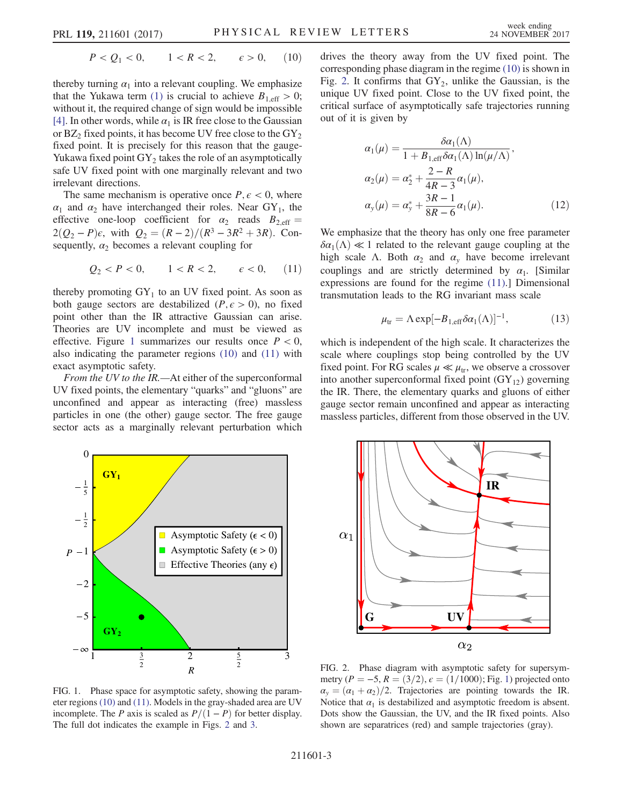$$
P < Q_1 < 0, \qquad 1 < R < 2, \qquad \varepsilon > 0,\tag{10}
$$

thereby turning  $\alpha_1$  into a relevant coupling. We emphasize that the Yukawa term [\(1\)](#page-0-3) is crucial to achieve  $B_{1,\text{eff}} > 0$ ; without it, the required change of sign would be impossible [\[4\]](#page-3-7). In other words, while  $\alpha_1$  is IR free close to the Gaussian or  $BZ_2$  fixed points, it has become UV free close to the  $GY_2$ fixed point. It is precisely for this reason that the gauge-Yukawa fixed point  $GY_2$  takes the role of an asymptotically safe UV fixed point with one marginally relevant and two irrelevant directions.

<span id="page-2-1"></span>The same mechanism is operative once  $P, \epsilon < 0$ , where  $\alpha_1$  and  $\alpha_2$  have interchanged their roles. Near GY<sub>1</sub>, the effective one-loop coefficient for  $\alpha_2$  reads  $B_{2,\text{eff}} =$  $2(Q_2 - P)\epsilon$ , with  $Q_2 = (R - 2)/(R^3 - 3R^2 + 3R)$ . Consequently,  $\alpha_2$  becomes a relevant coupling for

$$
Q_2 < P < 0, \quad 1 < R < 2, \quad \epsilon < 0, \quad (11)
$$

thereby promoting  $GY_1$  to an UV fixed point. As soon as both gauge sectors are destabilized ( $P, \epsilon > 0$ ), no fixed point other than the IR attractive Gaussian can arise. Theories are UV incomplete and must be viewed as effective. Figure [1](#page-2-0) summarizes our results once  $P < 0$ , also indicating the parameter regions [\(10\)](#page-1-5) and [\(11\)](#page-2-1) with exact asymptotic safety.

From the UV to the IR.—At either of the superconformal UV fixed points, the elementary "quarks" and "gluons" are unconfined and appear as interacting (free) massless particles in one (the other) gauge sector. The free gauge sector acts as a marginally relevant perturbation which



<span id="page-2-3"></span>
$$
\alpha_1(\mu) = \frac{\delta \alpha_1(\Lambda)}{1 + B_{1,eff} \delta \alpha_1(\Lambda) \ln(\mu/\Lambda)},
$$
  
\n
$$
\alpha_2(\mu) = \alpha_2^* + \frac{2 - R}{4R - 3} \alpha_1(\mu),
$$
  
\n
$$
\alpha_y(\mu) = \alpha_y^* + \frac{3R - 1}{8R - 6} \alpha_1(\mu).
$$
 (12)

<span id="page-2-4"></span>We emphasize that the theory has only one free parameter  $\delta \alpha_1(\Lambda) \ll 1$  related to the relevant gauge coupling at the high scale Λ. Both  $\alpha_2$  and  $\alpha_y$  have become irrelevant couplings and are strictly determined by  $\alpha_1$ . [Similar expressions are found for the regime [\(11\).](#page-2-1)] Dimensional transmutation leads to the RG invariant mass scale

$$
\mu_{tr} = \Lambda \exp[-B_{1,\text{eff}} \delta \alpha_1(\Lambda)]^{-1}, \qquad (13)
$$

which is independent of the high scale. It characterizes the scale where couplings stop being controlled by the UV fixed point. For RG scales  $\mu \ll \mu_{tr}$ , we observe a crossover into another superconformal fixed point  $(GY_{12})$  governing the IR. There, the elementary quarks and gluons of either gauge sector remain unconfined and appear as interacting massless particles, different from those observed in the UV.

<span id="page-2-0"></span>

FIG. 1. Phase space for asymptotic safety, showing the parameter regions [\(10\)](#page-1-5) and [\(11\).](#page-2-1) Models in the gray-shaded area are UV incomplete. The P axis is scaled as  $P/(1 - P)$  for better display. The full dot indicates the example in Figs. [2](#page-2-2) and [3.](#page-3-9)

<span id="page-2-2"></span>

FIG. 2. Phase diagram with asymptotic safety for supersymmetry ( $P = -5$ ,  $R = (3/2)$ ,  $\epsilon = (1/1000)$ ; Fig. [1\)](#page-2-0) projected onto  $\alpha_{v}=(\alpha_{1}+\alpha_{2})/2$ . Trajectories are pointing towards the IR. Notice that  $\alpha_1$  is destabilized and asymptotic freedom is absent. Dots show the Gaussian, the UV, and the IR fixed points. Also shown are separatrices (red) and sample trajectories (gray).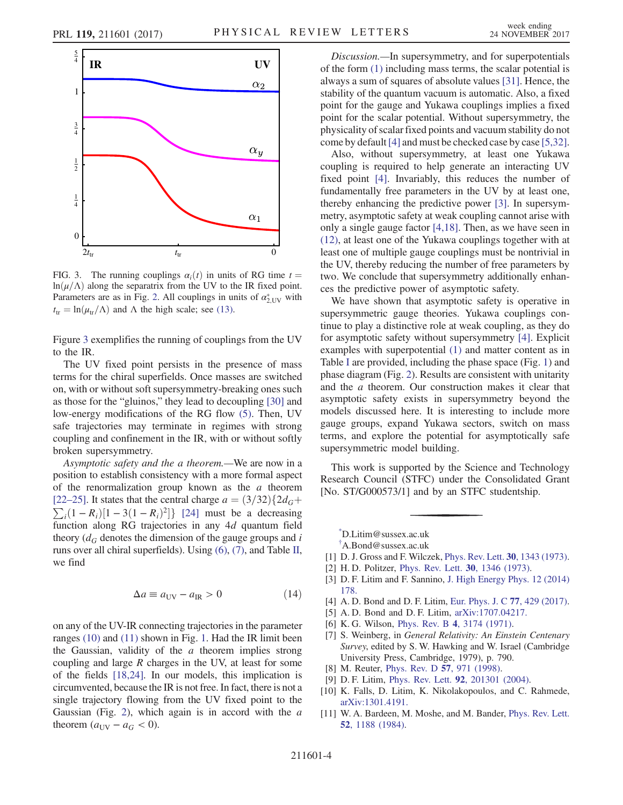<span id="page-3-9"></span>

FIG. 3. The running couplings  $\alpha_i(t)$  in units of RG time  $t =$  $ln(\mu/\Lambda)$  along the separatrix from the UV to the IR fixed point. Parameters are as in Fig. [2.](#page-2-2) All couplings in units of  $\alpha_{2,\text{UV}}^*$  with  $t_{tr} = \ln(\mu_{tr}/\Lambda)$  and  $\Lambda$  the high scale; see [\(13\).](#page-2-4)

Figure [3](#page-3-9) exemplifies the running of couplings from the UV to the IR.

The UV fixed point persists in the presence of mass terms for the chiral superfields. Once masses are switched on, with or without soft supersymmetry-breaking ones such as those for the "gluinos," they lead to decoupling [\[30\]](#page-4-7) and low-energy modifications of the RG flow [\(5\)](#page-1-0). Then, UV safe trajectories may terminate in regimes with strong coupling and confinement in the IR, with or without softly broken supersymmetry.

Asymptotic safety and the a theorem.—We are now in a position to establish consistency with a more formal aspect of the renormalization group known as the  $a$  theorem  $\sum_i (1 - R_i)[1 - 3(1 - R_i)^2]$  [\[24\]](#page-4-8) must be a decreasing<br>function along RG trajectories in any 4*d* quantum field [22–[25\].](#page-4-3) It states that the central charge  $a = (3/32)\{2d<sub>G</sub> +$ function along RG trajectories in any 4d quantum field theory  $(d_G$  denotes the dimension of the gauge groups and i runs over all chiral superfields). Using [\(6\)](#page-1-2), [\(7\)](#page-1-3), and Table [II](#page-1-1), we find

$$
\Delta a \equiv a_{\rm UV} - a_{\rm IR} > 0 \tag{14}
$$

on any of the UV-IR connecting trajectories in the parameter ranges [\(10\)](#page-1-5) and [\(11\)](#page-2-1) shown in Fig. [1.](#page-2-0) Had the IR limit been the Gaussian, validity of the  $a$  theorem implies strong coupling and large  $R$  charges in the UV, at least for some of the fields [\[18,24\].](#page-4-9) In our models, this implication is circumvented, because the IR is not free. In fact, there is not a single trajectory flowing from the UV fixed point to the Gaussian (Fig. [2\)](#page-2-2), which again is in accord with the  $a$ theorem  $(a_{UV} - a_G < 0)$ .

Discussion.—In supersymmetry, and for superpotentials of the form [\(1\)](#page-0-3) including mass terms, the scalar potential is always a sum of squares of absolute values [\[31\].](#page-4-10) Hence, the stability of the quantum vacuum is automatic. Also, a fixed point for the gauge and Yukawa couplings implies a fixed point for the scalar potential. Without supersymmetry, the physicality of scalar fixed points and vacuum stability do not come by default[\[4\]](#page-3-7) and must be checked case by case [\[5,32\]](#page-3-8).

Also, without supersymmetry, at least one Yukawa coupling is required to help generate an interacting UV fixed point [\[4\].](#page-3-7) Invariably, this reduces the number of fundamentally free parameters in the UV by at least one, thereby enhancing the predictive power [\[3\]](#page-3-3). In supersymmetry, asymptotic safety at weak coupling cannot arise with only a single gauge factor [\[4,18\]](#page-3-7). Then, as we have seen in [\(12\)](#page-2-3), at least one of the Yukawa couplings together with at least one of multiple gauge couplings must be nontrivial in the UV, thereby reducing the number of free parameters by two. We conclude that supersymmetry additionally enhances the predictive power of asymptotic safety.

We have shown that asymptotic safety is operative in supersymmetric gauge theories. Yukawa couplings continue to play a distinctive role at weak coupling, as they do for asymptotic safety without supersymmetry [\[4\]](#page-3-7). Explicit examples with superpotential [\(1\)](#page-0-3) and matter content as in Table [I](#page-0-0) are provided, including the phase space (Fig. [1](#page-2-0)) and phase diagram (Fig. [2\)](#page-2-2). Results are consistent with unitarity and the a theorem. Our construction makes it clear that asymptotic safety exists in supersymmetry beyond the models discussed here. It is interesting to include more gauge groups, expand Yukawa sectors, switch on mass terms, and explore the potential for asymptotically safe supersymmetric model building.

This work is supported by the Science and Technology Research Council (STFC) under the Consolidated Grant [No. ST/G000573/1] and by an STFC studentship.

<span id="page-3-1"></span><span id="page-3-0"></span>[\\*](#page-0-4) D.Litim@sussex.ac.uk

- <span id="page-3-2"></span>[1] D. J. Gross and F. Wilczek, [Phys. Rev. Lett.](https://doi.org/10.1103/PhysRevLett.30.1343) **30**, 1343 (1973).
- <span id="page-3-3"></span>[2] H. D. Politzer, [Phys. Rev. Lett.](https://doi.org/10.1103/PhysRevLett.30.1346) 30, 1346 (1973).
- [3] D. F. Litim and F. Sannino, [J. High Energy Phys. 12 \(2014\)](https://doi.org/10.1007/JHEP12(2014)178) [178.](https://doi.org/10.1007/JHEP12(2014)178)
- <span id="page-3-8"></span><span id="page-3-7"></span>[4] A. D. Bond and D. F. Litim, [Eur. Phys. J. C](https://doi.org/10.1140/epjc/s10052-017-4976-5) 77, 429 (2017).
- <span id="page-3-4"></span>[5] A. D. Bond and D. F. Litim, [arXiv:1707.04217.](http://arXiv.org/abs/1707.04217)
- <span id="page-3-5"></span>[6] K. G. Wilson, Phys. Rev. B 4[, 3174 \(1971\).](https://doi.org/10.1103/PhysRevB.4.3174)
- [7] S. Weinberg, in General Relativity: An Einstein Centenary Survey, edited by S. W. Hawking and W. Israel (Cambridge University Press, Cambridge, 1979), p. 790.
- [8] M. Reuter, *[Phys. Rev. D](https://doi.org/10.1103/PhysRevD.57.971)* 57, 971 (1998).
- [9] D. F. Litim, Phys. Rev. Lett. 92[, 201301 \(2004\).](https://doi.org/10.1103/PhysRevLett.92.201301)
- [10] K. Falls, D. Litim, K. Nikolakopoulos, and C. Rahmede, [arXiv:1301.4191.](http://arXiv.org/abs/1301.4191)
- <span id="page-3-6"></span>[11] W. A. Bardeen, M. Moshe, and M. Bander, [Phys. Rev. Lett.](https://doi.org/10.1103/PhysRevLett.52.1188) 52[, 1188 \(1984\)](https://doi.org/10.1103/PhysRevLett.52.1188).

[<sup>†</sup>](#page-0-4) A.Bond@sussex.ac.uk